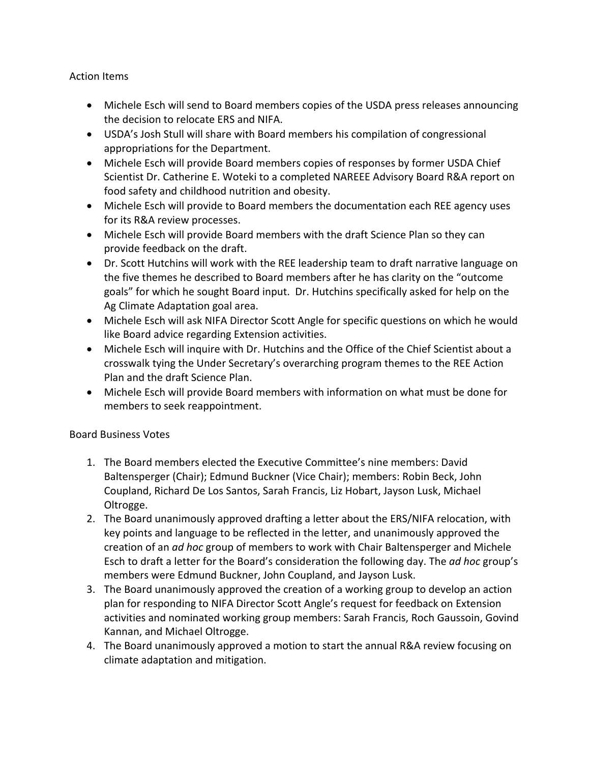Action Items

- Michele Esch will send to Board members copies of the USDA press releases announcing the decision to relocate ERS and NIFA.
- USDA's Josh Stull will share with Board members his compilation of congressional appropriations for the Department.
- Michele Esch will provide Board members copies of responses by former USDA Chief Scientist Dr. Catherine E. Woteki to a completed NAREEE Advisory Board R&A report on food safety and childhood nutrition and obesity.
- Michele Esch will provide to Board members the documentation each REE agency uses for its R&A review processes.
- Michele Esch will provide Board members with the draft Science Plan so they can provide feedback on the draft.
- Dr. Scott Hutchins will work with the REE leadership team to draft narrative language on the five themes he described to Board members after he has clarity on the "outcome goals" for which he sought Board input. Dr. Hutchins specifically asked for help on the Ag Climate Adaptation goal area.
- Michele Esch will ask NIFA Director Scott Angle for specific questions on which he would like Board advice regarding Extension activities.
- Michele Esch will inquire with Dr. Hutchins and the Office of the Chief Scientist about a crosswalk tying the Under Secretary's overarching program themes to the REE Action Plan and the draft Science Plan.
- Michele Esch will provide Board members with information on what must be done for members to seek reappointment.

## Board Business Votes

- 1. The Board members elected the Executive Committee's nine members: David Baltensperger (Chair); Edmund Buckner (Vice Chair); members: Robin Beck, John Coupland, Richard De Los Santos, Sarah Francis, Liz Hobart, Jayson Lusk, Michael Oltrogge.
- 2. The Board unanimously approved drafting a letter about the ERS/NIFA relocation, with key points and language to be reflected in the letter, and unanimously approved the creation of an *ad hoc* group of members to work with Chair Baltensperger and Michele Esch to draft a letter for the Board's consideration the following day. The *ad hoc* group's members were Edmund Buckner, John Coupland, and Jayson Lusk.
- 3. The Board unanimously approved the creation of a working group to develop an action plan for responding to NIFA Director Scott Angle's request for feedback on Extension activities and nominated working group members: Sarah Francis, Roch Gaussoin, Govind Kannan, and Michael Oltrogge.
- 4. The Board unanimously approved a motion to start the annual R&A review focusing on climate adaptation and mitigation.